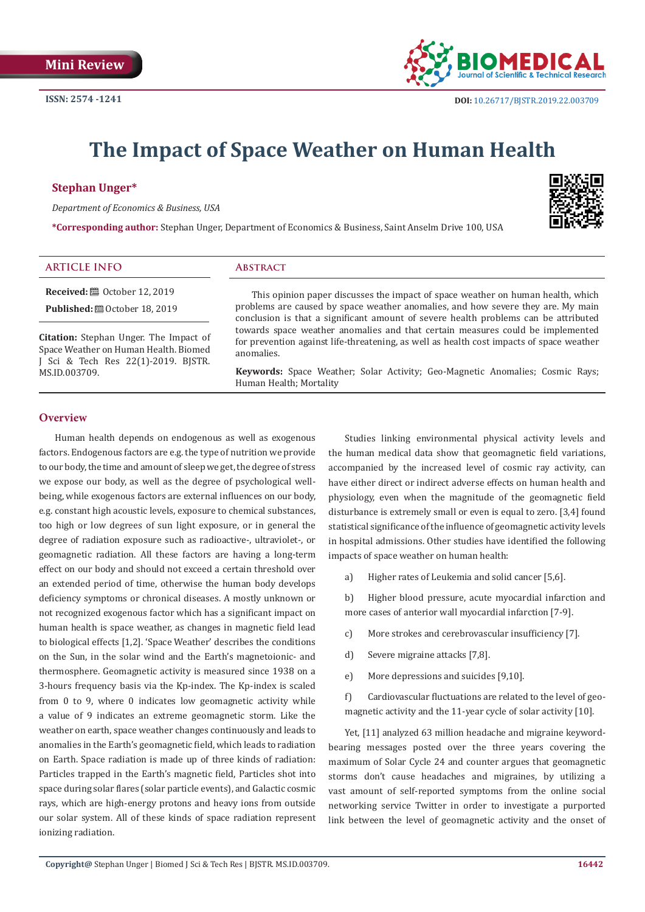

# **The Impact of Space Weather on Human Health**

### **Stephan Unger\***

*Department of Economics & Business, USA*

**\*Corresponding author:** Stephan Unger, Department of Economics & Business, Saint Anselm Drive 100, USA



# **ARTICLE INFO Abstract**

**Received:** ■ October 12, 2019 **Published:**  $\blacksquare$  October 18, 2019

**Citation:** Stephan Unger. The Impact of Space Weather on Human Health. Biomed J Sci & Tech Res 22(1)-2019. BJSTR. MS.ID.003709.

This opinion paper discusses the impact of space weather on human health, which problems are caused by space weather anomalies, and how severe they are. My main conclusion is that a significant amount of severe health problems can be attributed towards space weather anomalies and that certain measures could be implemented for prevention against life-threatening, as well as health cost impacts of space weather anomalies.

**Keywords:** Space Weather; Solar Activity; Geo-Magnetic Anomalies; Cosmic Rays; Human Health; Mortality

#### **Overview**

Human health depends on endogenous as well as exogenous factors. Endogenous factors are e.g. the type of nutrition we provide to our body, the time and amount of sleep we get, the degree of stress we expose our body, as well as the degree of psychological wellbeing, while exogenous factors are external influences on our body, e.g. constant high acoustic levels, exposure to chemical substances, too high or low degrees of sun light exposure, or in general the degree of radiation exposure such as radioactive-, ultraviolet-, or geomagnetic radiation. All these factors are having a long-term effect on our body and should not exceed a certain threshold over an extended period of time, otherwise the human body develops deficiency symptoms or chronical diseases. A mostly unknown or not recognized exogenous factor which has a significant impact on human health is space weather, as changes in magnetic field lead to biological effects [1,2]. 'Space Weather' describes the conditions on the Sun, in the solar wind and the Earth's magnetoionic- and thermosphere. Geomagnetic activity is measured since 1938 on a 3-hours frequency basis via the Kp-index. The Kp-index is scaled from 0 to 9, where 0 indicates low geomagnetic activity while a value of 9 indicates an extreme geomagnetic storm. Like the weather on earth, space weather changes continuously and leads to anomalies in the Earth's geomagnetic field, which leads to radiation on Earth. Space radiation is made up of three kinds of radiation: Particles trapped in the Earth's magnetic field, Particles shot into space during solar flares (solar particle events), and Galactic cosmic rays, which are high-energy protons and heavy ions from outside our solar system. All of these kinds of space radiation represent ionizing radiation.

Studies linking environmental physical activity levels and the human medical data show that geomagnetic field variations, accompanied by the increased level of cosmic ray activity, can have either direct or indirect adverse effects on human health and physiology, even when the magnitude of the geomagnetic field disturbance is extremely small or even is equal to zero. [3,4] found statistical significance of the influence of geomagnetic activity levels in hospital admissions. Other studies have identified the following impacts of space weather on human health:

a) Higher rates of Leukemia and solid cancer [5,6].

b) Higher blood pressure, acute myocardial infarction and more cases of anterior wall myocardial infarction [7-9].

- c) More strokes and cerebrovascular insufficiency [7].
- d) Severe migraine attacks [7,8].
- e) More depressions and suicides [9,10].

f) Cardiovascular fluctuations are related to the level of geomagnetic activity and the 11-year cycle of solar activity [10].

Yet, [11] analyzed 63 million headache and migraine keywordbearing messages posted over the three years covering the maximum of Solar Cycle 24 and counter argues that geomagnetic storms don't cause headaches and migraines, by utilizing a vast amount of self-reported symptoms from the online social networking service Twitter in order to investigate a purported link between the level of geomagnetic activity and the onset of